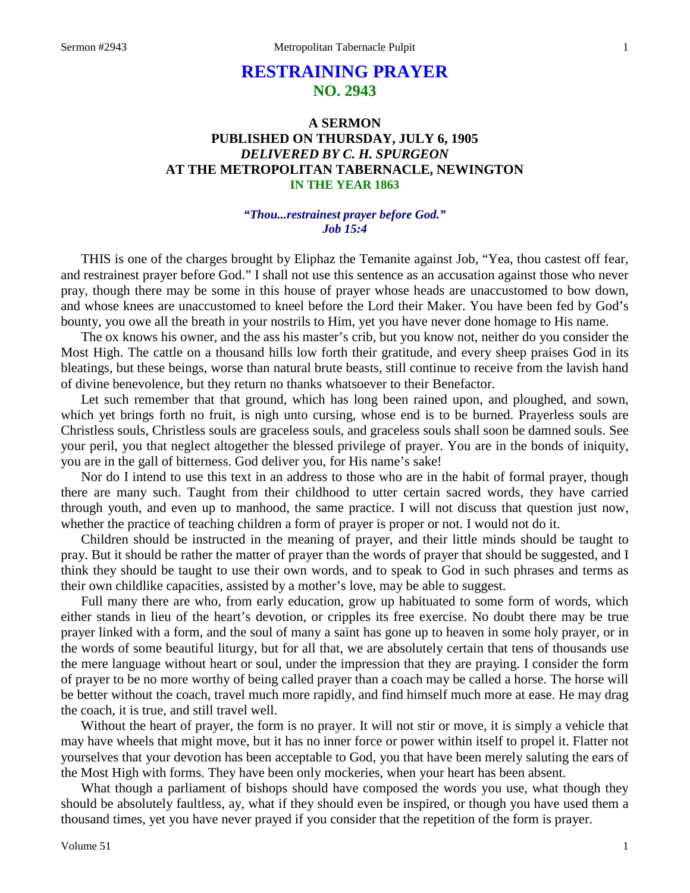# **RESTRAINING PRAYER NO. 2943**

## **A SERMON PUBLISHED ON THURSDAY, JULY 6, 1905** *DELIVERED BY C. H. SPURGEON* **AT THE METROPOLITAN TABERNACLE, NEWINGTON IN THE YEAR 1863**

#### *"Thou...restrainest prayer before God." Job 15:4*

THIS is one of the charges brought by Eliphaz the Temanite against Job, "Yea, thou castest off fear, and restrainest prayer before God." I shall not use this sentence as an accusation against those who never pray, though there may be some in this house of prayer whose heads are unaccustomed to bow down, and whose knees are unaccustomed to kneel before the Lord their Maker. You have been fed by God's bounty, you owe all the breath in your nostrils to Him, yet you have never done homage to His name.

The ox knows his owner, and the ass his master's crib, but you know not, neither do you consider the Most High. The cattle on a thousand hills low forth their gratitude, and every sheep praises God in its bleatings, but these beings, worse than natural brute beasts, still continue to receive from the lavish hand of divine benevolence, but they return no thanks whatsoever to their Benefactor.

Let such remember that that ground, which has long been rained upon, and ploughed, and sown, which yet brings forth no fruit, is nigh unto cursing, whose end is to be burned. Prayerless souls are Christless souls, Christless souls are graceless souls, and graceless souls shall soon be damned souls. See your peril, you that neglect altogether the blessed privilege of prayer. You are in the bonds of iniquity, you are in the gall of bitterness. God deliver you, for His name's sake!

Nor do I intend to use this text in an address to those who are in the habit of formal prayer, though there are many such. Taught from their childhood to utter certain sacred words, they have carried through youth, and even up to manhood, the same practice. I will not discuss that question just now, whether the practice of teaching children a form of prayer is proper or not. I would not do it.

Children should be instructed in the meaning of prayer, and their little minds should be taught to pray. But it should be rather the matter of prayer than the words of prayer that should be suggested, and I think they should be taught to use their own words, and to speak to God in such phrases and terms as their own childlike capacities, assisted by a mother's love, may be able to suggest.

Full many there are who, from early education, grow up habituated to some form of words, which either stands in lieu of the heart's devotion, or cripples its free exercise. No doubt there may be true prayer linked with a form, and the soul of many a saint has gone up to heaven in some holy prayer, or in the words of some beautiful liturgy, but for all that, we are absolutely certain that tens of thousands use the mere language without heart or soul, under the impression that they are praying. I consider the form of prayer to be no more worthy of being called prayer than a coach may be called a horse. The horse will be better without the coach, travel much more rapidly, and find himself much more at ease. He may drag the coach, it is true, and still travel well.

Without the heart of prayer, the form is no prayer. It will not stir or move, it is simply a vehicle that may have wheels that might move, but it has no inner force or power within itself to propel it. Flatter not yourselves that your devotion has been acceptable to God, you that have been merely saluting the ears of the Most High with forms. They have been only mockeries, when your heart has been absent.

What though a parliament of bishops should have composed the words you use, what though they should be absolutely faultless, ay, what if they should even be inspired, or though you have used them a thousand times, yet you have never prayed if you consider that the repetition of the form is prayer.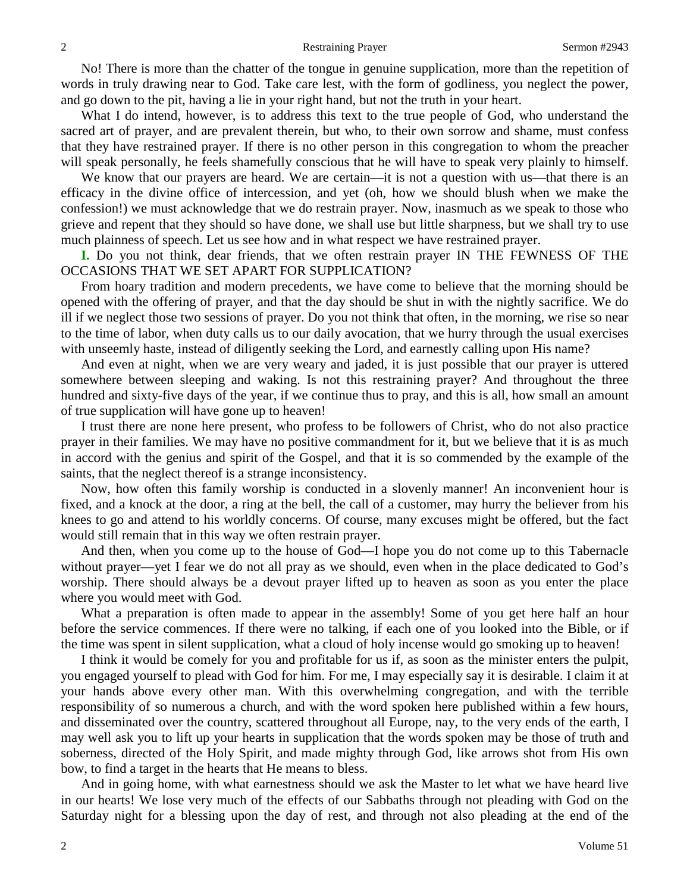No! There is more than the chatter of the tongue in genuine supplication, more than the repetition of words in truly drawing near to God. Take care lest, with the form of godliness, you neglect the power, and go down to the pit, having a lie in your right hand, but not the truth in your heart.

What I do intend, however, is to address this text to the true people of God, who understand the sacred art of prayer, and are prevalent therein, but who, to their own sorrow and shame, must confess that they have restrained prayer. If there is no other person in this congregation to whom the preacher will speak personally, he feels shamefully conscious that he will have to speak very plainly to himself.

We know that our prayers are heard. We are certain—it is not a question with us—that there is an efficacy in the divine office of intercession, and yet (oh, how we should blush when we make the confession!) we must acknowledge that we do restrain prayer. Now, inasmuch as we speak to those who grieve and repent that they should so have done, we shall use but little sharpness, but we shall try to use much plainness of speech. Let us see how and in what respect we have restrained prayer.

**I.** Do you not think, dear friends, that we often restrain prayer IN THE FEWNESS OF THE OCCASIONS THAT WE SET APART FOR SUPPLICATION?

From hoary tradition and modern precedents, we have come to believe that the morning should be opened with the offering of prayer, and that the day should be shut in with the nightly sacrifice. We do ill if we neglect those two sessions of prayer. Do you not think that often, in the morning, we rise so near to the time of labor, when duty calls us to our daily avocation, that we hurry through the usual exercises with unseemly haste, instead of diligently seeking the Lord, and earnestly calling upon His name?

And even at night, when we are very weary and jaded, it is just possible that our prayer is uttered somewhere between sleeping and waking. Is not this restraining prayer? And throughout the three hundred and sixty-five days of the year, if we continue thus to pray, and this is all, how small an amount of true supplication will have gone up to heaven!

I trust there are none here present, who profess to be followers of Christ, who do not also practice prayer in their families. We may have no positive commandment for it, but we believe that it is as much in accord with the genius and spirit of the Gospel, and that it is so commended by the example of the saints, that the neglect thereof is a strange inconsistency.

Now, how often this family worship is conducted in a slovenly manner! An inconvenient hour is fixed, and a knock at the door, a ring at the bell, the call of a customer, may hurry the believer from his knees to go and attend to his worldly concerns. Of course, many excuses might be offered, but the fact would still remain that in this way we often restrain prayer.

And then, when you come up to the house of God—I hope you do not come up to this Tabernacle without prayer—yet I fear we do not all pray as we should, even when in the place dedicated to God's worship. There should always be a devout prayer lifted up to heaven as soon as you enter the place where you would meet with God.

What a preparation is often made to appear in the assembly! Some of you get here half an hour before the service commences. If there were no talking, if each one of you looked into the Bible, or if the time was spent in silent supplication, what a cloud of holy incense would go smoking up to heaven!

I think it would be comely for you and profitable for us if, as soon as the minister enters the pulpit, you engaged yourself to plead with God for him. For me, I may especially say it is desirable. I claim it at your hands above every other man. With this overwhelming congregation, and with the terrible responsibility of so numerous a church, and with the word spoken here published within a few hours, and disseminated over the country, scattered throughout all Europe, nay, to the very ends of the earth, I may well ask you to lift up your hearts in supplication that the words spoken may be those of truth and soberness, directed of the Holy Spirit, and made mighty through God, like arrows shot from His own bow, to find a target in the hearts that He means to bless.

And in going home, with what earnestness should we ask the Master to let what we have heard live in our hearts! We lose very much of the effects of our Sabbaths through not pleading with God on the Saturday night for a blessing upon the day of rest, and through not also pleading at the end of the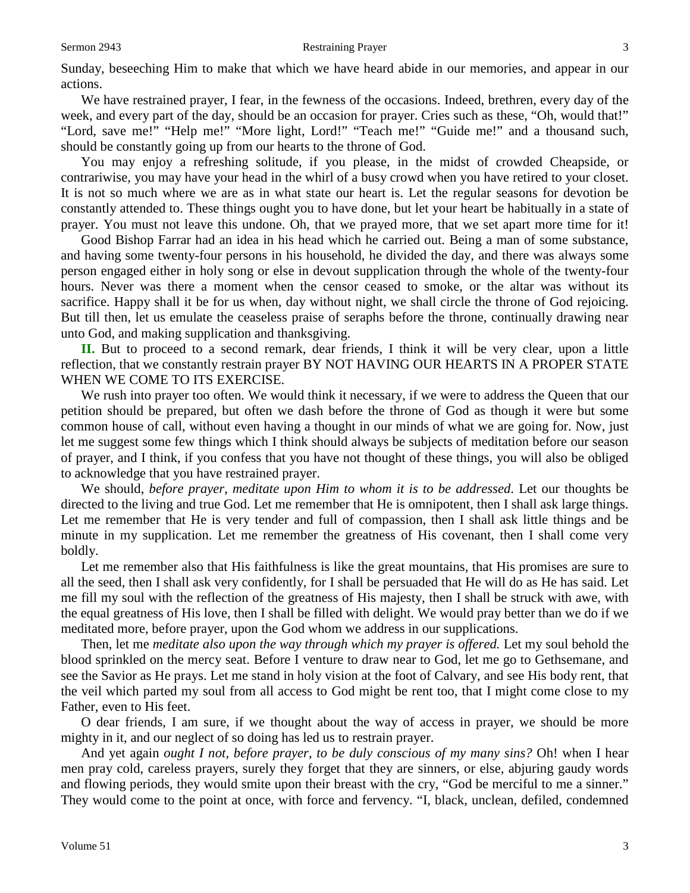#### Sermon 2943 **Restraining Prayer** 3

Sunday, beseeching Him to make that which we have heard abide in our memories, and appear in our actions.

We have restrained prayer, I fear, in the fewness of the occasions. Indeed, brethren, every day of the week, and every part of the day, should be an occasion for prayer. Cries such as these, "Oh, would that!" "Lord, save me!" "Help me!" "More light, Lord!" "Teach me!" "Guide me!" and a thousand such, should be constantly going up from our hearts to the throne of God.

You may enjoy a refreshing solitude, if you please, in the midst of crowded Cheapside, or contrariwise, you may have your head in the whirl of a busy crowd when you have retired to your closet. It is not so much where we are as in what state our heart is. Let the regular seasons for devotion be constantly attended to. These things ought you to have done, but let your heart be habitually in a state of prayer. You must not leave this undone. Oh, that we prayed more, that we set apart more time for it!

Good Bishop Farrar had an idea in his head which he carried out. Being a man of some substance, and having some twenty-four persons in his household, he divided the day, and there was always some person engaged either in holy song or else in devout supplication through the whole of the twenty-four hours. Never was there a moment when the censor ceased to smoke, or the altar was without its sacrifice. Happy shall it be for us when, day without night, we shall circle the throne of God rejoicing. But till then, let us emulate the ceaseless praise of seraphs before the throne, continually drawing near unto God, and making supplication and thanksgiving.

**II.** But to proceed to a second remark, dear friends, I think it will be very clear, upon a little reflection, that we constantly restrain prayer BY NOT HAVING OUR HEARTS IN A PROPER STATE WHEN WE COME TO ITS EXERCISE.

We rush into prayer too often. We would think it necessary, if we were to address the Queen that our petition should be prepared, but often we dash before the throne of God as though it were but some common house of call, without even having a thought in our minds of what we are going for. Now, just let me suggest some few things which I think should always be subjects of meditation before our season of prayer, and I think, if you confess that you have not thought of these things, you will also be obliged to acknowledge that you have restrained prayer.

We should, *before prayer*, *meditate upon Him to whom it is to be addressed*. Let our thoughts be directed to the living and true God. Let me remember that He is omnipotent, then I shall ask large things. Let me remember that He is very tender and full of compassion, then I shall ask little things and be minute in my supplication. Let me remember the greatness of His covenant, then I shall come very boldly.

Let me remember also that His faithfulness is like the great mountains, that His promises are sure to all the seed, then I shall ask very confidently, for I shall be persuaded that He will do as He has said. Let me fill my soul with the reflection of the greatness of His majesty, then I shall be struck with awe, with the equal greatness of His love, then I shall be filled with delight. We would pray better than we do if we meditated more, before prayer, upon the God whom we address in our supplications.

Then, let me *meditate also upon the way through which my prayer is offered.* Let my soul behold the blood sprinkled on the mercy seat. Before I venture to draw near to God, let me go to Gethsemane, and see the Savior as He prays. Let me stand in holy vision at the foot of Calvary, and see His body rent, that the veil which parted my soul from all access to God might be rent too, that I might come close to my Father, even to His feet.

O dear friends, I am sure, if we thought about the way of access in prayer, we should be more mighty in it, and our neglect of so doing has led us to restrain prayer.

And yet again *ought I not, before prayer, to be duly conscious of my many sins?* Oh! when I hear men pray cold, careless prayers, surely they forget that they are sinners, or else, abjuring gaudy words and flowing periods, they would smite upon their breast with the cry, "God be merciful to me a sinner." They would come to the point at once, with force and fervency. "I, black, unclean, defiled, condemned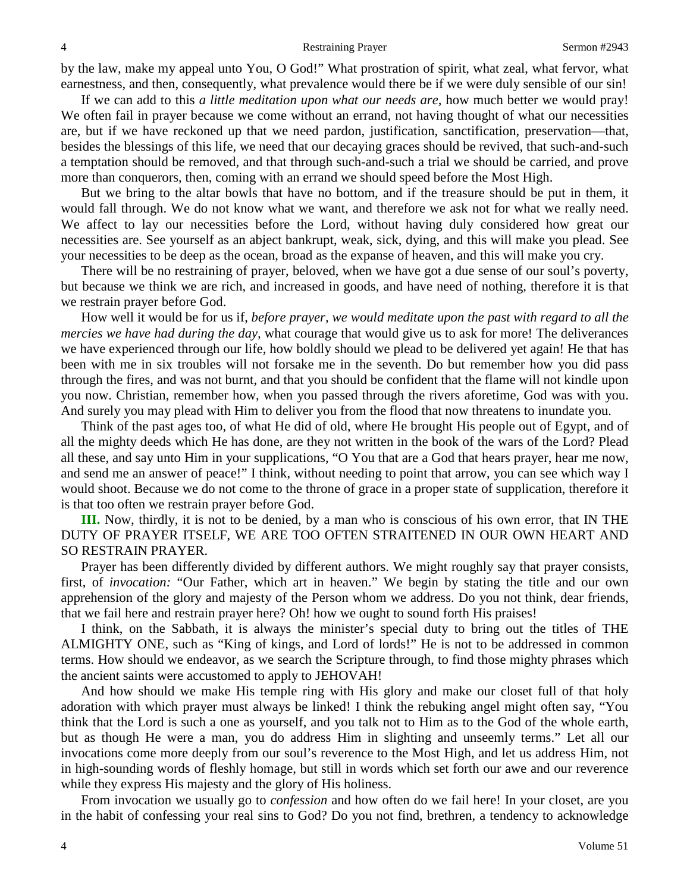by the law, make my appeal unto You, O God!" What prostration of spirit, what zeal, what fervor, what earnestness, and then, consequently, what prevalence would there be if we were duly sensible of our sin!

If we can add to this *a little meditation upon what our needs are,* how much better we would pray! We often fail in prayer because we come without an errand, not having thought of what our necessities are, but if we have reckoned up that we need pardon, justification, sanctification, preservation—that, besides the blessings of this life, we need that our decaying graces should be revived, that such-and-such a temptation should be removed, and that through such-and-such a trial we should be carried, and prove more than conquerors, then, coming with an errand we should speed before the Most High.

But we bring to the altar bowls that have no bottom, and if the treasure should be put in them, it would fall through. We do not know what we want, and therefore we ask not for what we really need. We affect to lay our necessities before the Lord, without having duly considered how great our necessities are. See yourself as an abject bankrupt, weak, sick, dying, and this will make you plead. See your necessities to be deep as the ocean, broad as the expanse of heaven, and this will make you cry.

There will be no restraining of prayer, beloved, when we have got a due sense of our soul's poverty, but because we think we are rich, and increased in goods, and have need of nothing, therefore it is that we restrain prayer before God.

How well it would be for us if, *before prayer, we would meditate upon the past with regard to all the mercies we have had during the day,* what courage that would give us to ask for more! The deliverances we have experienced through our life, how boldly should we plead to be delivered yet again! He that has been with me in six troubles will not forsake me in the seventh. Do but remember how you did pass through the fires, and was not burnt, and that you should be confident that the flame will not kindle upon you now. Christian, remember how, when you passed through the rivers aforetime, God was with you. And surely you may plead with Him to deliver you from the flood that now threatens to inundate you.

Think of the past ages too, of what He did of old, where He brought His people out of Egypt, and of all the mighty deeds which He has done, are they not written in the book of the wars of the Lord? Plead all these, and say unto Him in your supplications, "O You that are a God that hears prayer, hear me now, and send me an answer of peace!" I think, without needing to point that arrow, you can see which way I would shoot. Because we do not come to the throne of grace in a proper state of supplication, therefore it is that too often we restrain prayer before God.

**III.** Now, thirdly, it is not to be denied, by a man who is conscious of his own error, that IN THE DUTY OF PRAYER ITSELF, WE ARE TOO OFTEN STRAITENED IN OUR OWN HEART AND SO RESTRAIN PRAYER.

Prayer has been differently divided by different authors. We might roughly say that prayer consists, first, of *invocation:* "Our Father, which art in heaven." We begin by stating the title and our own apprehension of the glory and majesty of the Person whom we address. Do you not think, dear friends, that we fail here and restrain prayer here? Oh! how we ought to sound forth His praises!

I think, on the Sabbath, it is always the minister's special duty to bring out the titles of THE ALMIGHTY ONE, such as "King of kings, and Lord of lords!" He is not to be addressed in common terms. How should we endeavor, as we search the Scripture through, to find those mighty phrases which the ancient saints were accustomed to apply to JEHOVAH!

And how should we make His temple ring with His glory and make our closet full of that holy adoration with which prayer must always be linked! I think the rebuking angel might often say, "You think that the Lord is such a one as yourself, and you talk not to Him as to the God of the whole earth, but as though He were a man, you do address Him in slighting and unseemly terms." Let all our invocations come more deeply from our soul's reverence to the Most High, and let us address Him, not in high-sounding words of fleshly homage, but still in words which set forth our awe and our reverence while they express His majesty and the glory of His holiness.

From invocation we usually go to *confession* and how often do we fail here! In your closet, are you in the habit of confessing your real sins to God? Do you not find, brethren, a tendency to acknowledge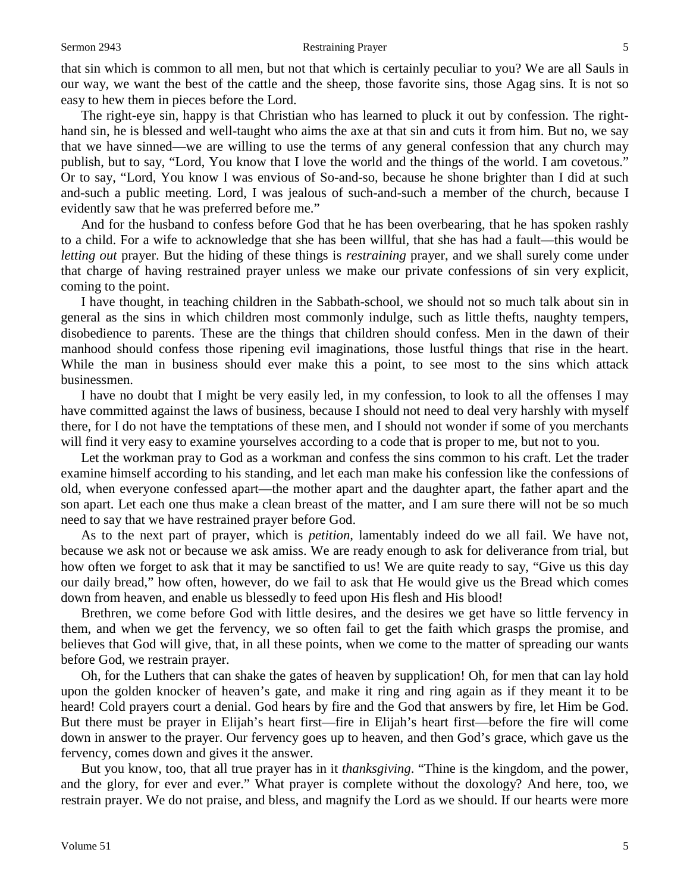that sin which is common to all men, but not that which is certainly peculiar to you? We are all Sauls in our way, we want the best of the cattle and the sheep, those favorite sins, those Agag sins. It is not so easy to hew them in pieces before the Lord.

The right-eye sin, happy is that Christian who has learned to pluck it out by confession. The righthand sin, he is blessed and well-taught who aims the axe at that sin and cuts it from him. But no, we say that we have sinned—we are willing to use the terms of any general confession that any church may publish, but to say, "Lord, You know that I love the world and the things of the world. I am covetous." Or to say, "Lord, You know I was envious of So-and-so, because he shone brighter than I did at such and-such a public meeting. Lord, I was jealous of such-and-such a member of the church, because I evidently saw that he was preferred before me."

And for the husband to confess before God that he has been overbearing, that he has spoken rashly to a child. For a wife to acknowledge that she has been willful, that she has had a fault—this would be *letting out* prayer. But the hiding of these things is *restraining* prayer, and we shall surely come under that charge of having restrained prayer unless we make our private confessions of sin very explicit, coming to the point.

I have thought, in teaching children in the Sabbath-school, we should not so much talk about sin in general as the sins in which children most commonly indulge, such as little thefts, naughty tempers, disobedience to parents. These are the things that children should confess. Men in the dawn of their manhood should confess those ripening evil imaginations, those lustful things that rise in the heart. While the man in business should ever make this a point, to see most to the sins which attack businessmen.

I have no doubt that I might be very easily led, in my confession, to look to all the offenses I may have committed against the laws of business, because I should not need to deal very harshly with myself there, for I do not have the temptations of these men, and I should not wonder if some of you merchants will find it very easy to examine yourselves according to a code that is proper to me, but not to you.

Let the workman pray to God as a workman and confess the sins common to his craft. Let the trader examine himself according to his standing, and let each man make his confession like the confessions of old, when everyone confessed apart—the mother apart and the daughter apart, the father apart and the son apart. Let each one thus make a clean breast of the matter, and I am sure there will not be so much need to say that we have restrained prayer before God.

As to the next part of prayer, which is *petition,* lamentably indeed do we all fail. We have not, because we ask not or because we ask amiss. We are ready enough to ask for deliverance from trial, but how often we forget to ask that it may be sanctified to us! We are quite ready to say, "Give us this day our daily bread," how often, however, do we fail to ask that He would give us the Bread which comes down from heaven, and enable us blessedly to feed upon His flesh and His blood!

Brethren, we come before God with little desires, and the desires we get have so little fervency in them, and when we get the fervency, we so often fail to get the faith which grasps the promise, and believes that God will give, that, in all these points, when we come to the matter of spreading our wants before God, we restrain prayer.

Oh, for the Luthers that can shake the gates of heaven by supplication! Oh, for men that can lay hold upon the golden knocker of heaven's gate, and make it ring and ring again as if they meant it to be heard! Cold prayers court a denial. God hears by fire and the God that answers by fire, let Him be God. But there must be prayer in Elijah's heart first—fire in Elijah's heart first—before the fire will come down in answer to the prayer. Our fervency goes up to heaven, and then God's grace, which gave us the fervency, comes down and gives it the answer.

But you know, too, that all true prayer has in it *thanksgiving*. "Thine is the kingdom, and the power, and the glory, for ever and ever." What prayer is complete without the doxology? And here, too, we restrain prayer. We do not praise, and bless, and magnify the Lord as we should. If our hearts were more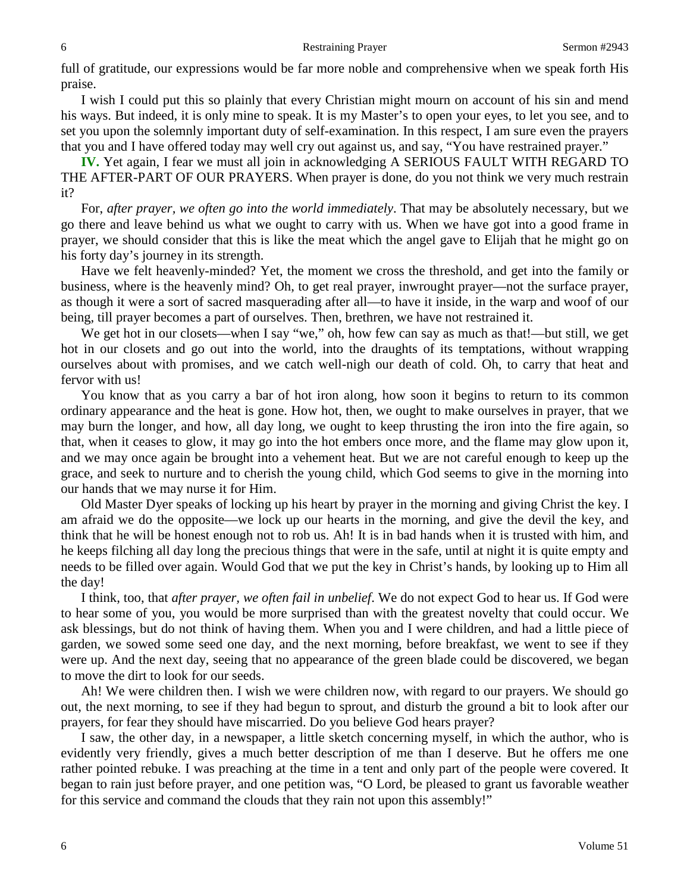full of gratitude, our expressions would be far more noble and comprehensive when we speak forth His praise.

I wish I could put this so plainly that every Christian might mourn on account of his sin and mend his ways. But indeed, it is only mine to speak. It is my Master's to open your eyes, to let you see, and to set you upon the solemnly important duty of self-examination. In this respect, I am sure even the prayers that you and I have offered today may well cry out against us, and say, "You have restrained prayer."

**IV.** Yet again, I fear we must all join in acknowledging A SERIOUS FAULT WITH REGARD TO THE AFTER-PART OF OUR PRAYERS. When prayer is done, do you not think we very much restrain it?

For, *after prayer, we often go into the world immediately*. That may be absolutely necessary, but we go there and leave behind us what we ought to carry with us. When we have got into a good frame in prayer, we should consider that this is like the meat which the angel gave to Elijah that he might go on his forty day's journey in its strength.

Have we felt heavenly-minded? Yet, the moment we cross the threshold, and get into the family or business, where is the heavenly mind? Oh, to get real prayer, inwrought prayer—not the surface prayer, as though it were a sort of sacred masquerading after all—to have it inside, in the warp and woof of our being, till prayer becomes a part of ourselves. Then, brethren, we have not restrained it.

We get hot in our closets—when I say "we," oh, how few can say as much as that!—but still, we get hot in our closets and go out into the world, into the draughts of its temptations, without wrapping ourselves about with promises, and we catch well-nigh our death of cold. Oh, to carry that heat and fervor with us!

You know that as you carry a bar of hot iron along, how soon it begins to return to its common ordinary appearance and the heat is gone. How hot, then, we ought to make ourselves in prayer, that we may burn the longer, and how, all day long, we ought to keep thrusting the iron into the fire again, so that, when it ceases to glow, it may go into the hot embers once more, and the flame may glow upon it, and we may once again be brought into a vehement heat. But we are not careful enough to keep up the grace, and seek to nurture and to cherish the young child, which God seems to give in the morning into our hands that we may nurse it for Him.

Old Master Dyer speaks of locking up his heart by prayer in the morning and giving Christ the key. I am afraid we do the opposite—we lock up our hearts in the morning, and give the devil the key, and think that he will be honest enough not to rob us. Ah! It is in bad hands when it is trusted with him, and he keeps filching all day long the precious things that were in the safe, until at night it is quite empty and needs to be filled over again. Would God that we put the key in Christ's hands, by looking up to Him all the day!

I think, too, that *after prayer, we often fail in unbelief*. We do not expect God to hear us. If God were to hear some of you, you would be more surprised than with the greatest novelty that could occur. We ask blessings, but do not think of having them. When you and I were children, and had a little piece of garden, we sowed some seed one day, and the next morning, before breakfast, we went to see if they were up. And the next day, seeing that no appearance of the green blade could be discovered, we began to move the dirt to look for our seeds.

Ah! We were children then. I wish we were children now, with regard to our prayers. We should go out, the next morning, to see if they had begun to sprout, and disturb the ground a bit to look after our prayers, for fear they should have miscarried. Do you believe God hears prayer?

I saw, the other day, in a newspaper, a little sketch concerning myself, in which the author, who is evidently very friendly, gives a much better description of me than I deserve. But he offers me one rather pointed rebuke. I was preaching at the time in a tent and only part of the people were covered. It began to rain just before prayer, and one petition was, "O Lord, be pleased to grant us favorable weather for this service and command the clouds that they rain not upon this assembly!"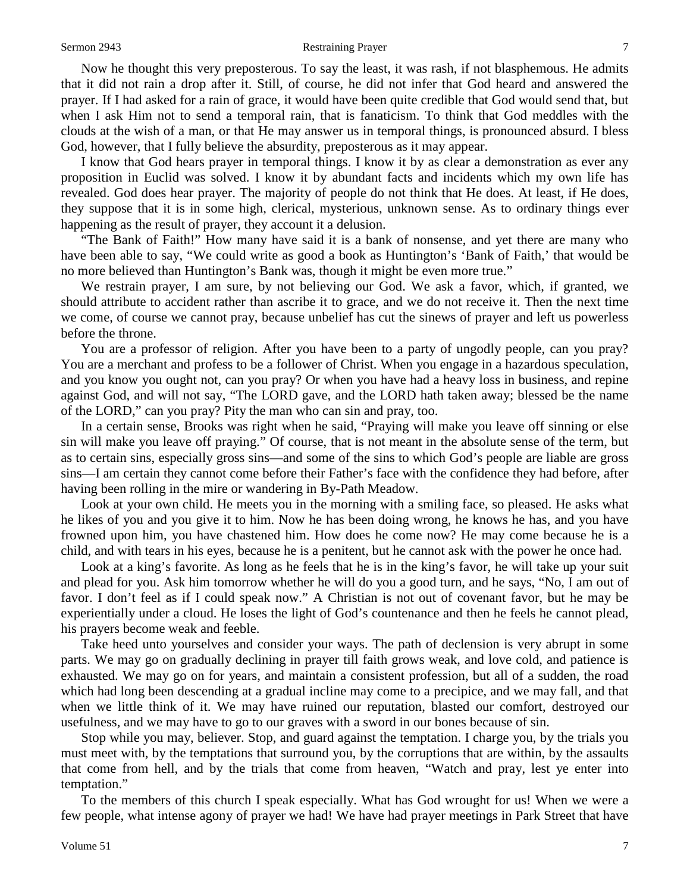#### Sermon 2943 **Restraining Prayer** 7

Now he thought this very preposterous. To say the least, it was rash, if not blasphemous. He admits that it did not rain a drop after it. Still, of course, he did not infer that God heard and answered the prayer. If I had asked for a rain of grace, it would have been quite credible that God would send that, but when I ask Him not to send a temporal rain, that is fanaticism. To think that God meddles with the clouds at the wish of a man, or that He may answer us in temporal things, is pronounced absurd. I bless God, however, that I fully believe the absurdity, preposterous as it may appear.

I know that God hears prayer in temporal things. I know it by as clear a demonstration as ever any proposition in Euclid was solved. I know it by abundant facts and incidents which my own life has revealed. God does hear prayer. The majority of people do not think that He does. At least, if He does, they suppose that it is in some high, clerical, mysterious, unknown sense. As to ordinary things ever happening as the result of prayer, they account it a delusion.

"The Bank of Faith!" How many have said it is a bank of nonsense, and yet there are many who have been able to say, "We could write as good a book as Huntington's 'Bank of Faith,' that would be no more believed than Huntington's Bank was, though it might be even more true."

We restrain prayer, I am sure, by not believing our God. We ask a favor, which, if granted, we should attribute to accident rather than ascribe it to grace, and we do not receive it. Then the next time we come, of course we cannot pray, because unbelief has cut the sinews of prayer and left us powerless before the throne.

You are a professor of religion. After you have been to a party of ungodly people, can you pray? You are a merchant and profess to be a follower of Christ. When you engage in a hazardous speculation, and you know you ought not, can you pray? Or when you have had a heavy loss in business, and repine against God, and will not say, "The LORD gave, and the LORD hath taken away; blessed be the name of the LORD," can you pray? Pity the man who can sin and pray, too.

In a certain sense, Brooks was right when he said, "Praying will make you leave off sinning or else sin will make you leave off praying." Of course, that is not meant in the absolute sense of the term, but as to certain sins, especially gross sins—and some of the sins to which God's people are liable are gross sins—I am certain they cannot come before their Father's face with the confidence they had before, after having been rolling in the mire or wandering in By-Path Meadow.

Look at your own child. He meets you in the morning with a smiling face, so pleased. He asks what he likes of you and you give it to him. Now he has been doing wrong, he knows he has, and you have frowned upon him, you have chastened him. How does he come now? He may come because he is a child, and with tears in his eyes, because he is a penitent, but he cannot ask with the power he once had.

Look at a king's favorite. As long as he feels that he is in the king's favor, he will take up your suit and plead for you. Ask him tomorrow whether he will do you a good turn, and he says, "No, I am out of favor. I don't feel as if I could speak now." A Christian is not out of covenant favor, but he may be experientially under a cloud. He loses the light of God's countenance and then he feels he cannot plead, his prayers become weak and feeble.

Take heed unto yourselves and consider your ways. The path of declension is very abrupt in some parts. We may go on gradually declining in prayer till faith grows weak, and love cold, and patience is exhausted. We may go on for years, and maintain a consistent profession, but all of a sudden, the road which had long been descending at a gradual incline may come to a precipice, and we may fall, and that when we little think of it. We may have ruined our reputation, blasted our comfort, destroyed our usefulness, and we may have to go to our graves with a sword in our bones because of sin.

Stop while you may, believer. Stop, and guard against the temptation. I charge you, by the trials you must meet with, by the temptations that surround you, by the corruptions that are within, by the assaults that come from hell, and by the trials that come from heaven, "Watch and pray, lest ye enter into temptation."

To the members of this church I speak especially. What has God wrought for us! When we were a few people, what intense agony of prayer we had! We have had prayer meetings in Park Street that have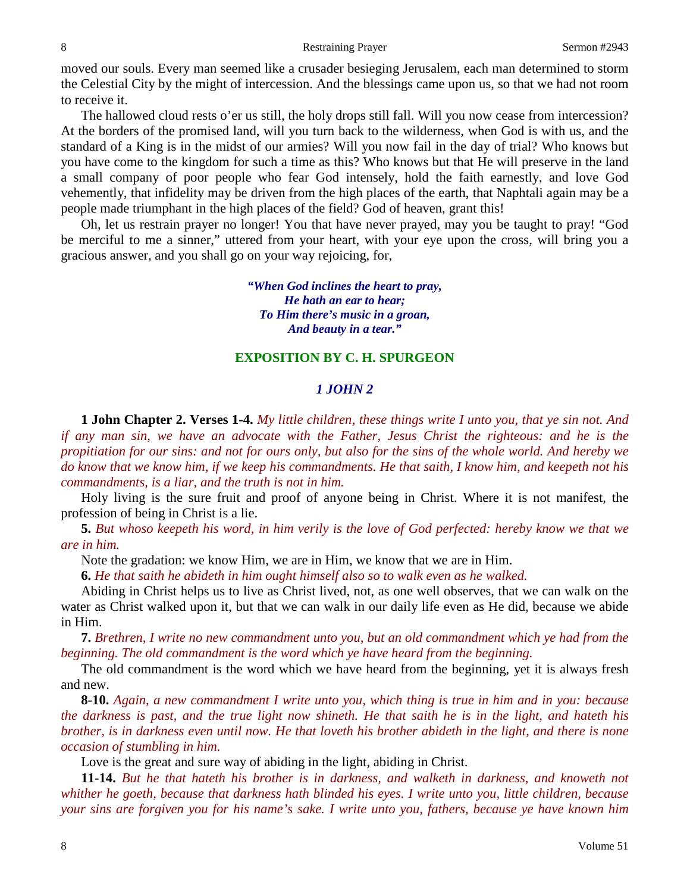moved our souls. Every man seemed like a crusader besieging Jerusalem, each man determined to storm the Celestial City by the might of intercession. And the blessings came upon us, so that we had not room to receive it.

The hallowed cloud rests o'er us still, the holy drops still fall. Will you now cease from intercession? At the borders of the promised land, will you turn back to the wilderness, when God is with us, and the standard of a King is in the midst of our armies? Will you now fail in the day of trial? Who knows but you have come to the kingdom for such a time as this? Who knows but that He will preserve in the land a small company of poor people who fear God intensely, hold the faith earnestly, and love God vehemently, that infidelity may be driven from the high places of the earth, that Naphtali again may be a people made triumphant in the high places of the field? God of heaven, grant this!

Oh, let us restrain prayer no longer! You that have never prayed, may you be taught to pray! "God be merciful to me a sinner," uttered from your heart, with your eye upon the cross, will bring you a gracious answer, and you shall go on your way rejoicing, for,

> *"When God inclines the heart to pray, He hath an ear to hear; To Him there's music in a groan, And beauty in a tear."*

#### **EXPOSITION BY C. H. SPURGEON**

### *1 JOHN 2*

**1 John Chapter 2. Verses 1-4.** *My little children, these things write I unto you, that ye sin not. And if any man sin, we have an advocate with the Father, Jesus Christ the righteous: and he is the propitiation for our sins: and not for ours only, but also for the sins of the whole world. And hereby we do know that we know him, if we keep his commandments. He that saith, I know him, and keepeth not his commandments, is a liar, and the truth is not in him.* 

Holy living is the sure fruit and proof of anyone being in Christ. Where it is not manifest, the profession of being in Christ is a lie.

**5.** *But whoso keepeth his word, in him verily is the love of God perfected: hereby know we that we are in him.*

Note the gradation: we know Him, we are in Him, we know that we are in Him.

**6.** *He that saith he abideth in him ought himself also so to walk even as he walked.* 

Abiding in Christ helps us to live as Christ lived, not, as one well observes, that we can walk on the water as Christ walked upon it, but that we can walk in our daily life even as He did, because we abide in Him.

**7.** *Brethren, I write no new commandment unto you, but an old commandment which ye had from the beginning. The old commandment is the word which ye have heard from the beginning.* 

The old commandment is the word which we have heard from the beginning, yet it is always fresh and new.

**8-10.** *Again, a new commandment I write unto you, which thing is true in him and in you: because the darkness is past, and the true light now shineth. He that saith he is in the light, and hateth his brother, is in darkness even until now. He that loveth his brother abideth in the light, and there is none occasion of stumbling in him.* 

Love is the great and sure way of abiding in the light, abiding in Christ.

**11-14.** *But he that hateth his brother is in darkness, and walketh in darkness, and knoweth not whither he goeth, because that darkness hath blinded his eyes. I write unto you, little children, because your sins are forgiven you for his name's sake. I write unto you, fathers, because ye have known him*